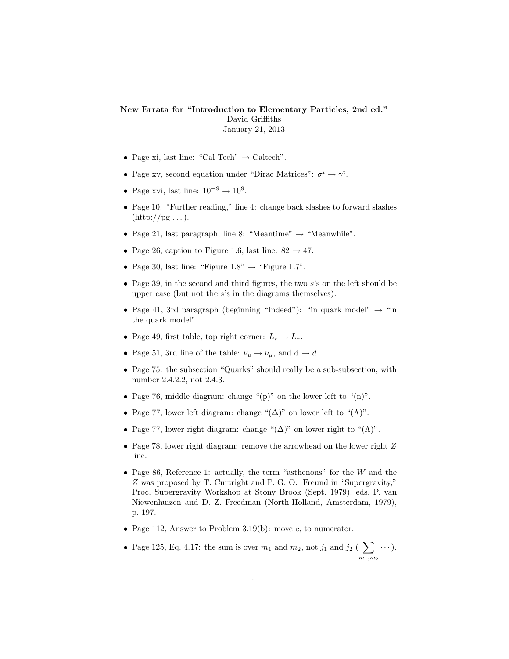## New Errata for "Introduction to Elementary Particles, 2nd ed." David Griffiths January 21, 2013

- Page xi, last line: "Cal Tech"  $\rightarrow$  Caltech".
- Page xv, second equation under "Dirac Matrices":  $\sigma^i \to \gamma^i$ .
- Page xvi, last line:  $10^{-9} \rightarrow 10^{9}$ .
- Page 10. "Further reading," line 4: change back slashes to forward slashes  $(\text{http://pg ...}).$
- Page 21, last paragraph, line 8: "Meantime"  $\rightarrow$  "Meanwhile".
- Page 26, caption to Figure 1.6, last line:  $82 \rightarrow 47$ .
- Page 30, last line: "Figure  $1.8" \rightarrow$  "Figure  $1.7"$ .
- Page 39, in the second and third figures, the two  $s$ 's on the left should be upper case (but not the  $s$ 's in the diagrams themselves).
- Page 41, 3rd paragraph (beginning "Indeed"): "in quark model"  $\rightarrow$  "in the quark model".
- Page 49, first table, top right corner:  $L_r \to L_\tau$ .
- Page 51, 3rd line of the table:  $\nu_u \rightarrow \nu_\mu$ , and  $d \rightarrow d$ .
- Page 75: the subsection "Quarks" should really be a sub-subsection, with number 2.4.2.2, not 2.4.3.
- Page 76, middle diagram: change "(p)" on the lower left to " $(n)$ ".
- Page 77, lower left diagram: change " $(\Delta)$ " on lower left to " $(\Lambda)$ ".
- Page 77, lower right diagram: change " $(\Delta)$ " on lower right to " $(\Lambda)$ ".
- Page 78, lower right diagram: remove the arrowhead on the lower right Z line.
- Page 86, Reference 1: actually, the term "asthenons" for the  $W$  and the Z was proposed by T. Curtright and P. G. O. Freund in "Supergravity," Proc. Supergravity Workshop at Stony Brook (Sept. 1979), eds. P. van Niewenhuizen and D. Z. Freedman (North-Holland, Amsterdam, 1979), p. 197.
- Page 112, Answer to Problem 3.19(b): move c, to numerator.
- Page 125, Eq. 4.17: the sum is over  $m_1$  and  $m_2$ , not  $j_1$  and  $j_2$  (  $\sum$  $m_1,m_2$ · · ·).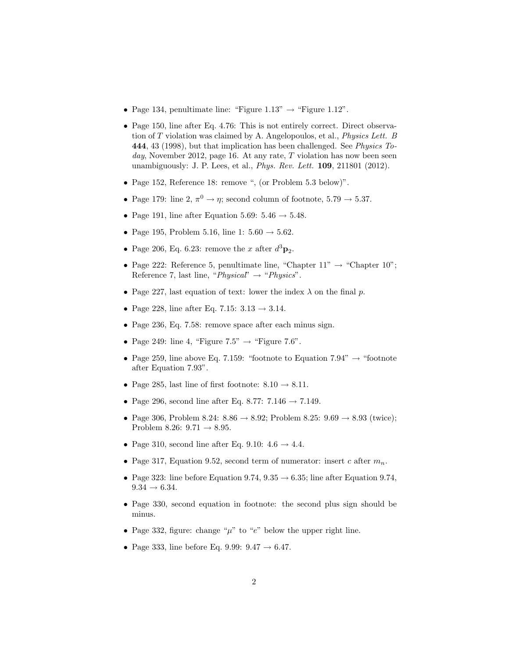- Page 134, penultimate line: "Figure  $1.13" \rightarrow$  "Figure  $1.12"$ .
- Page 150, line after Eq. 4.76: This is not entirely correct. Direct observation of T violation was claimed by A. Angelopoulos, et al., Physics Lett. B 444, 43 (1998), but that implication has been challenged. See Physics Today, November 2012, page 16. At any rate,  $T$  violation has now been seen unambiguously: J. P. Lees, et al., *Phys. Rev. Lett.* **109**, 211801 (2012).
- Page 152, Reference 18: remove ", (or Problem 5.3 below)".
- Page 179: line 2,  $\pi^0 \rightarrow \eta$ ; second column of footnote, 5.79  $\rightarrow$  5.37.
- Page 191, line after Equation 5.69:  $5.46 \rightarrow 5.48$ .
- Page 195, Problem 5.16, line 1:  $5.60 \rightarrow 5.62$ .
- Page 206, Eq. 6.23: remove the x after  $d^3\mathbf{p}_2$ .
- Page 222: Reference 5, penultimate line, "Chapter  $11" \rightarrow$  "Chapter  $10"$ ; Reference 7, last line, " $Physical" \rightarrow "Physics".$
- Page 227, last equation of text: lower the index  $\lambda$  on the final p.
- Page 228, line after Eq. 7.15:  $3.13 \rightarrow 3.14$ .
- Page 236, Eq. 7.58: remove space after each minus sign.
- Page 249: line 4, "Figure  $7.5" \rightarrow$  "Figure 7.6".
- Page 259, line above Eq. 7.159: "footnote to Equation 7.94"  $\rightarrow$  "footnote after Equation 7.93".
- Page 285, last line of first footnote:  $8.10 \rightarrow 8.11$ .
- Page 296, second line after Eq. 8.77:  $7.146 \rightarrow 7.149$ .
- Page 306, Problem 8.24:  $8.86 \rightarrow 8.92$ ; Problem  $8.25: 9.69 \rightarrow 8.93$  (twice); Problem 8.26:  $9.71 \rightarrow 8.95$ .
- Page 310, second line after Eq. 9.10:  $4.6 \rightarrow 4.4$ .
- Page 317, Equation 9.52, second term of numerator: insert c after  $m_n$ .
- Page 323: line before Equation 9.74,  $9.35 \rightarrow 6.35$ ; line after Equation 9.74,  $9.34 \rightarrow 6.34$ .
- Page 330, second equation in footnote: the second plus sign should be minus.
- Page 332, figure: change " $\mu$ " to "e" below the upper right line.
- Page 333, line before Eq. 9.99:  $9.47 \rightarrow 6.47$ .